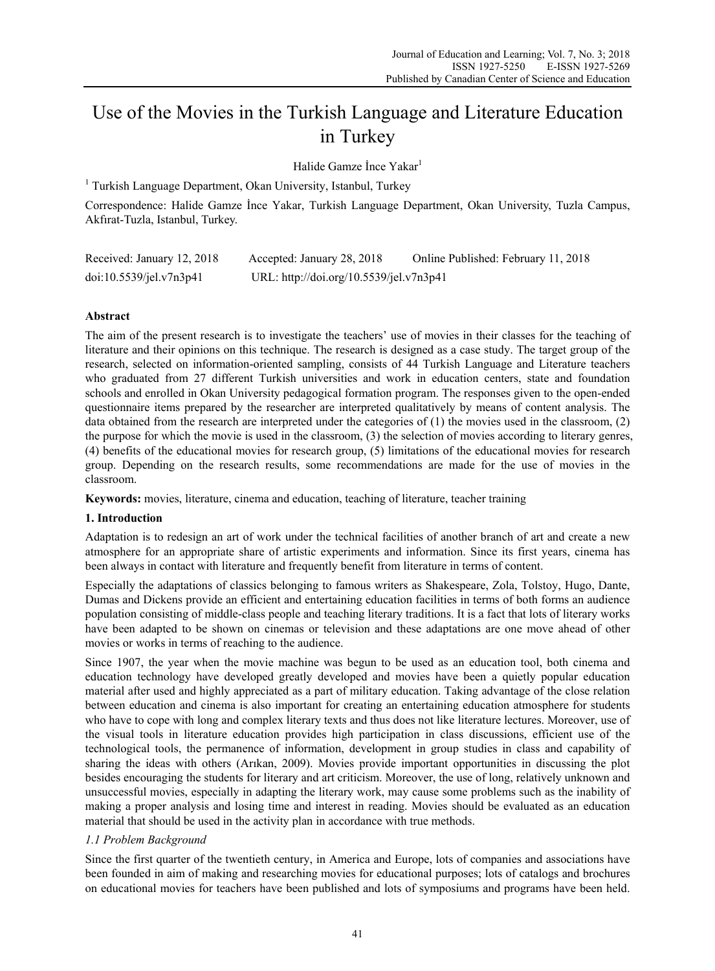# Use of the Movies in the Turkish Language and Literature Education in Turkey

Halide Gamze İnce Yakar<sup>1</sup>

<sup>1</sup> Turkish Language Department, Okan University, Istanbul, Turkey

Correspondence: Halide Gamze İnce Yakar, Turkish Language Department, Okan University, Tuzla Campus, Akfırat-Tuzla, Istanbul, Turkey.

| Received: January 12, 2018 | Accepted: January 28, 2018              | Online Published: February 11, 2018 |
|----------------------------|-----------------------------------------|-------------------------------------|
| doi:10.5539/jel.v7n3p41    | URL: http://doi.org/10.5539/jel.v7n3p41 |                                     |

# **Abstract**

The aim of the present research is to investigate the teachers' use of movies in their classes for the teaching of literature and their opinions on this technique. The research is designed as a case study. The target group of the research, selected on information-oriented sampling, consists of 44 Turkish Language and Literature teachers who graduated from 27 different Turkish universities and work in education centers, state and foundation schools and enrolled in Okan University pedagogical formation program. The responses given to the open-ended questionnaire items prepared by the researcher are interpreted qualitatively by means of content analysis. The data obtained from the research are interpreted under the categories of (1) the movies used in the classroom, (2) the purpose for which the movie is used in the classroom, (3) the selection of movies according to literary genres, (4) benefits of the educational movies for research group, (5) limitations of the educational movies for research group. Depending on the research results, some recommendations are made for the use of movies in the classroom.

**Keywords:** movies, literature, cinema and education, teaching of literature, teacher training

# **1. Introduction**

Adaptation is to redesign an art of work under the technical facilities of another branch of art and create a new atmosphere for an appropriate share of artistic experiments and information. Since its first years, cinema has been always in contact with literature and frequently benefit from literature in terms of content.

Especially the adaptations of classics belonging to famous writers as Shakespeare, Zola, Tolstoy, Hugo, Dante, Dumas and Dickens provide an efficient and entertaining education facilities in terms of both forms an audience population consisting of middle-class people and teaching literary traditions. It is a fact that lots of literary works have been adapted to be shown on cinemas or television and these adaptations are one move ahead of other movies or works in terms of reaching to the audience.

Since 1907, the year when the movie machine was begun to be used as an education tool, both cinema and education technology have developed greatly developed and movies have been a quietly popular education material after used and highly appreciated as a part of military education. Taking advantage of the close relation between education and cinema is also important for creating an entertaining education atmosphere for students who have to cope with long and complex literary texts and thus does not like literature lectures. Moreover, use of the visual tools in literature education provides high participation in class discussions, efficient use of the technological tools, the permanence of information, development in group studies in class and capability of sharing the ideas with others (Arıkan, 2009). Movies provide important opportunities in discussing the plot besides encouraging the students for literary and art criticism. Moreover, the use of long, relatively unknown and unsuccessful movies, especially in adapting the literary work, may cause some problems such as the inability of making a proper analysis and losing time and interest in reading. Movies should be evaluated as an education material that should be used in the activity plan in accordance with true methods.

# *1.1 Problem Background*

Since the first quarter of the twentieth century, in America and Europe, lots of companies and associations have been founded in aim of making and researching movies for educational purposes; lots of catalogs and brochures on educational movies for teachers have been published and lots of symposiums and programs have been held.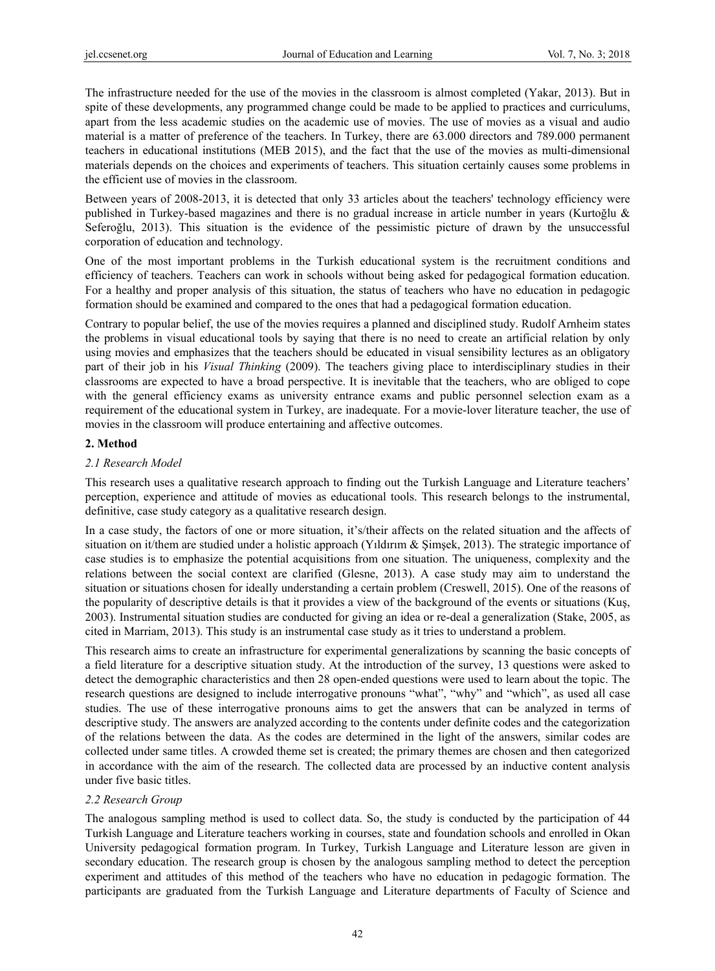The infrastructure needed for the use of the movies in the classroom is almost completed (Yakar, 2013). But in spite of these developments, any programmed change could be made to be applied to practices and curriculums, apart from the less academic studies on the academic use of movies. The use of movies as a visual and audio material is a matter of preference of the teachers. In Turkey, there are 63.000 directors and 789.000 permanent teachers in educational institutions (MEB 2015), and the fact that the use of the movies as multi-dimensional materials depends on the choices and experiments of teachers. This situation certainly causes some problems in the efficient use of movies in the classroom.

Between years of 2008-2013, it is detected that only 33 articles about the teachers' technology efficiency were published in Turkey-based magazines and there is no gradual increase in article number in years (Kurtoğlu & Seferoğlu, 2013). This situation is the evidence of the pessimistic picture of drawn by the unsuccessful corporation of education and technology.

One of the most important problems in the Turkish educational system is the recruitment conditions and efficiency of teachers. Teachers can work in schools without being asked for pedagogical formation education. For a healthy and proper analysis of this situation, the status of teachers who have no education in pedagogic formation should be examined and compared to the ones that had a pedagogical formation education.

Contrary to popular belief, the use of the movies requires a planned and disciplined study. Rudolf Arnheim states the problems in visual educational tools by saying that there is no need to create an artificial relation by only using movies and emphasizes that the teachers should be educated in visual sensibility lectures as an obligatory part of their job in his *Visual Thinking* (2009). The teachers giving place to interdisciplinary studies in their classrooms are expected to have a broad perspective. It is inevitable that the teachers, who are obliged to cope with the general efficiency exams as university entrance exams and public personnel selection exam as a requirement of the educational system in Turkey, are inadequate. For a movie-lover literature teacher, the use of movies in the classroom will produce entertaining and affective outcomes.

## **2. Method**

## *2.1 Research Model*

This research uses a qualitative research approach to finding out the Turkish Language and Literature teachers' perception, experience and attitude of movies as educational tools. This research belongs to the instrumental, definitive, case study category as a qualitative research design.

In a case study, the factors of one or more situation, it's/their affects on the related situation and the affects of situation on it/them are studied under a holistic approach (Yıldırım & Şimşek, 2013). The strategic importance of case studies is to emphasize the potential acquisitions from one situation. The uniqueness, complexity and the relations between the social context are clarified (Glesne, 2013). A case study may aim to understand the situation or situations chosen for ideally understanding a certain problem (Creswell, 2015). One of the reasons of the popularity of descriptive details is that it provides a view of the background of the events or situations (Kuş, 2003). Instrumental situation studies are conducted for giving an idea or re-deal a generalization (Stake, 2005, as cited in Marriam, 2013). This study is an instrumental case study as it tries to understand a problem.

This research aims to create an infrastructure for experimental generalizations by scanning the basic concepts of a field literature for a descriptive situation study. At the introduction of the survey, 13 questions were asked to detect the demographic characteristics and then 28 open-ended questions were used to learn about the topic. The research questions are designed to include interrogative pronouns "what", "why" and "which", as used all case studies. The use of these interrogative pronouns aims to get the answers that can be analyzed in terms of descriptive study. The answers are analyzed according to the contents under definite codes and the categorization of the relations between the data. As the codes are determined in the light of the answers, similar codes are collected under same titles. A crowded theme set is created; the primary themes are chosen and then categorized in accordance with the aim of the research. The collected data are processed by an inductive content analysis under five basic titles.

## *2.2 Research Group*

The analogous sampling method is used to collect data. So, the study is conducted by the participation of 44 Turkish Language and Literature teachers working in courses, state and foundation schools and enrolled in Okan University pedagogical formation program. In Turkey, Turkish Language and Literature lesson are given in secondary education. The research group is chosen by the analogous sampling method to detect the perception experiment and attitudes of this method of the teachers who have no education in pedagogic formation. The participants are graduated from the Turkish Language and Literature departments of Faculty of Science and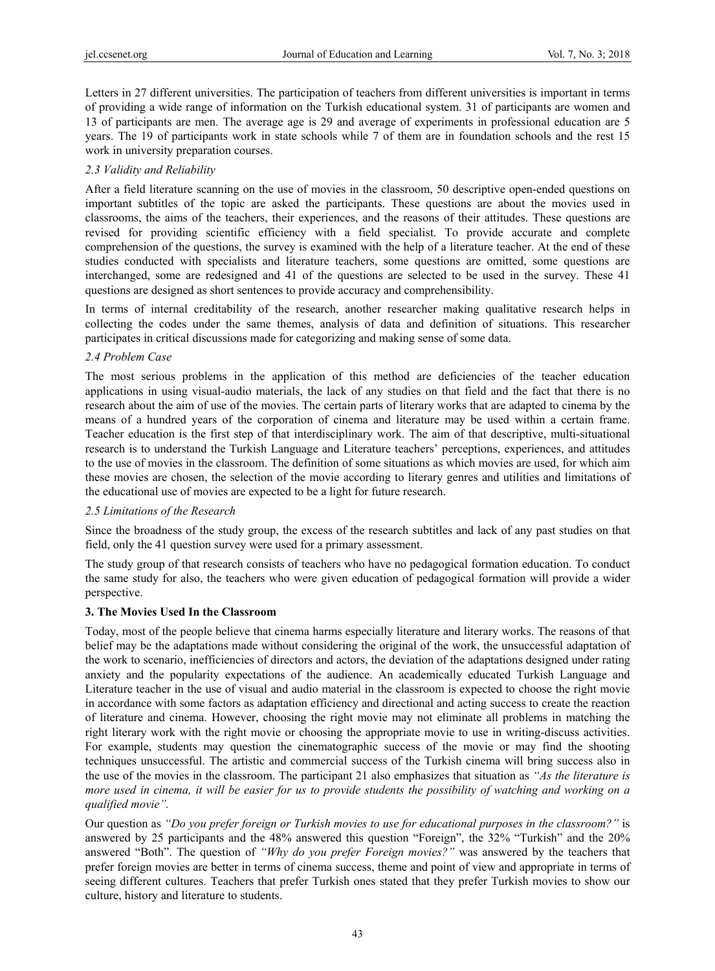Letters in 27 different universities. The participation of teachers from different universities is important in terms of providing a wide range of information on the Turkish educational system. 31 of participants are women and 13 of participants are men. The average age is 29 and average of experiments in professional education are 5 years. The 19 of participants work in state schools while 7 of them are in foundation schools and the rest 15 work in university preparation courses.

## *2.3 Validity and Reliability*

After a field literature scanning on the use of movies in the classroom, 50 descriptive open-ended questions on important subtitles of the topic are asked the participants. These questions are about the movies used in classrooms, the aims of the teachers, their experiences, and the reasons of their attitudes. These questions are revised for providing scientific efficiency with a field specialist. To provide accurate and complete comprehension of the questions, the survey is examined with the help of a literature teacher. At the end of these studies conducted with specialists and literature teachers, some questions are omitted, some questions are interchanged, some are redesigned and 41 of the questions are selected to be used in the survey. These 41 questions are designed as short sentences to provide accuracy and comprehensibility.

In terms of internal creditability of the research, another researcher making qualitative research helps in collecting the codes under the same themes, analysis of data and definition of situations. This researcher participates in critical discussions made for categorizing and making sense of some data.

## *2.4 Problem Case*

The most serious problems in the application of this method are deficiencies of the teacher education applications in using visual-audio materials, the lack of any studies on that field and the fact that there is no research about the aim of use of the movies. The certain parts of literary works that are adapted to cinema by the means of a hundred years of the corporation of cinema and literature may be used within a certain frame. Teacher education is the first step of that interdisciplinary work. The aim of that descriptive, multi-situational research is to understand the Turkish Language and Literature teachers' perceptions, experiences, and attitudes to the use of movies in the classroom. The definition of some situations as which movies are used, for which aim these movies are chosen, the selection of the movie according to literary genres and utilities and limitations of the educational use of movies are expected to be a light for future research.

## *2.5 Limitations of the Research*

Since the broadness of the study group, the excess of the research subtitles and lack of any past studies on that field, only the 41 question survey were used for a primary assessment.

The study group of that research consists of teachers who have no pedagogical formation education. To conduct the same study for also, the teachers who were given education of pedagogical formation will provide a wider perspective.

## **3. The Movies Used In the Classroom**

Today, most of the people believe that cinema harms especially literature and literary works. The reasons of that belief may be the adaptations made without considering the original of the work, the unsuccessful adaptation of the work to scenario, inefficiencies of directors and actors, the deviation of the adaptations designed under rating anxiety and the popularity expectations of the audience. An academically educated Turkish Language and Literature teacher in the use of visual and audio material in the classroom is expected to choose the right movie in accordance with some factors as adaptation efficiency and directional and acting success to create the reaction of literature and cinema. However, choosing the right movie may not eliminate all problems in matching the right literary work with the right movie or choosing the appropriate movie to use in writing-discuss activities. For example, students may question the cinematographic success of the movie or may find the shooting techniques unsuccessful. The artistic and commercial success of the Turkish cinema will bring success also in the use of the movies in the classroom. The participant 21 also emphasizes that situation as *"As the literature is more used in cinema, it will be easier for us to provide students the possibility of watching and working on a qualified movie".*

Our question as *"Do you prefer foreign or Turkish movies to use for educational purposes in the classroom?"* is answered by 25 participants and the 48% answered this question "Foreign", the 32% "Turkish" and the 20% answered "Both". The question of *"Why do you prefer Foreign movies?"* was answered by the teachers that prefer foreign movies are better in terms of cinema success, theme and point of view and appropriate in terms of seeing different cultures. Teachers that prefer Turkish ones stated that they prefer Turkish movies to show our culture, history and literature to students.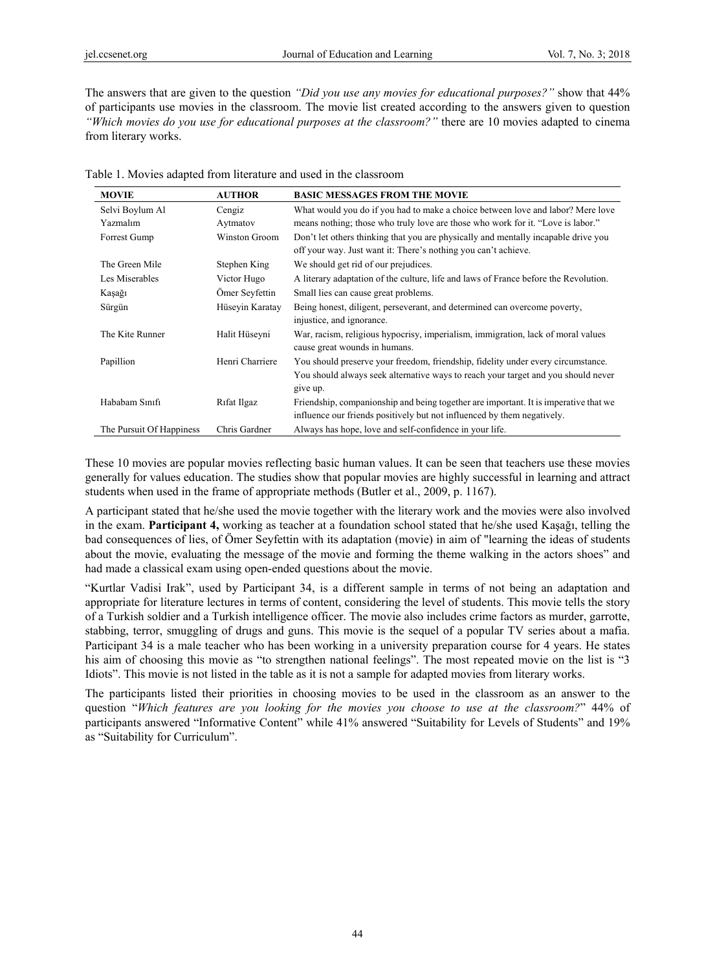The answers that are given to the question *"Did you use any movies for educational purposes?"* show that 44% of participants use movies in the classroom. The movie list created according to the answers given to question *"Which movies do you use for educational purposes at the classroom?"* there are 10 movies adapted to cinema from literary works.

| Table 1. Movies adapted from literature and used in the classroom |
|-------------------------------------------------------------------|
|-------------------------------------------------------------------|

| <b>MOVIE</b>             | <b>AUTHOR</b>            | <b>BASIC MESSAGES FROM THE MOVIE</b>                                                                                                                                              |
|--------------------------|--------------------------|-----------------------------------------------------------------------------------------------------------------------------------------------------------------------------------|
| Selvi Boylum Al          | Cengiz                   | What would you do if you had to make a choice between love and labor? Mere love                                                                                                   |
| Yazmalım                 | Aytmatov                 | means nothing; those who truly love are those who work for it. "Love is labor."                                                                                                   |
| Forrest Gump             | Winston Groom            | Don't let others thinking that you are physically and mentally incapable drive you<br>off your way. Just want it: There's nothing you can't achieve.                              |
| The Green Mile           | Stephen King             | We should get rid of our prejudices.                                                                                                                                              |
| Les Miserables           | Victor Hugo              | A literary adaptation of the culture, life and laws of France before the Revolution.                                                                                              |
| Kaşağı                   | Ömer Seyfettin           | Small lies can cause great problems.                                                                                                                                              |
| Sürgün                   | Hüseyin Karatay          | Being honest, diligent, perseverant, and determined can overcome poverty,<br>injustice, and ignorance.                                                                            |
| The Kite Runner          | Halit Hüseyni            | War, racism, religious hypocrisy, imperialism, immigration, lack of moral values<br>cause great wounds in humans.                                                                 |
| Papillion                | Henri Charriere          | You should preserve your freedom, friendship, fidelity under every circumstance.<br>You should always seek alternative ways to reach your target and you should never<br>give up. |
| Hababam Sınıfı           | R <sub>1</sub> fat Ilgaz | Friendship, companionship and being together are important. It is imperative that we<br>influence our friends positively but not influenced by them negatively.                   |
| The Pursuit Of Happiness | Chris Gardner            | Always has hope, love and self-confidence in your life.                                                                                                                           |

These 10 movies are popular movies reflecting basic human values. It can be seen that teachers use these movies generally for values education. The studies show that popular movies are highly successful in learning and attract students when used in the frame of appropriate methods (Butler et al., 2009, p. 1167).

A participant stated that he/she used the movie together with the literary work and the movies were also involved in the exam. **Participant 4,** working as teacher at a foundation school stated that he/she used Kaşağı, telling the bad consequences of lies, of Ömer Seyfettin with its adaptation (movie) in aim of "learning the ideas of students about the movie, evaluating the message of the movie and forming the theme walking in the actors shoes" and had made a classical exam using open-ended questions about the movie.

"Kurtlar Vadisi Irak", used by Participant 34, is a different sample in terms of not being an adaptation and appropriate for literature lectures in terms of content, considering the level of students. This movie tells the story of a Turkish soldier and a Turkish intelligence officer. The movie also includes crime factors as murder, garrotte, stabbing, terror, smuggling of drugs and guns. This movie is the sequel of a popular TV series about a mafia. Participant 34 is a male teacher who has been working in a university preparation course for 4 years. He states his aim of choosing this movie as "to strengthen national feelings". The most repeated movie on the list is "3 Idiots". This movie is not listed in the table as it is not a sample for adapted movies from literary works.

The participants listed their priorities in choosing movies to be used in the classroom as an answer to the question "*Which features are you looking for the movies you choose to use at the classroom?*" 44% of participants answered "Informative Content" while 41% answered "Suitability for Levels of Students" and 19% as "Suitability for Curriculum".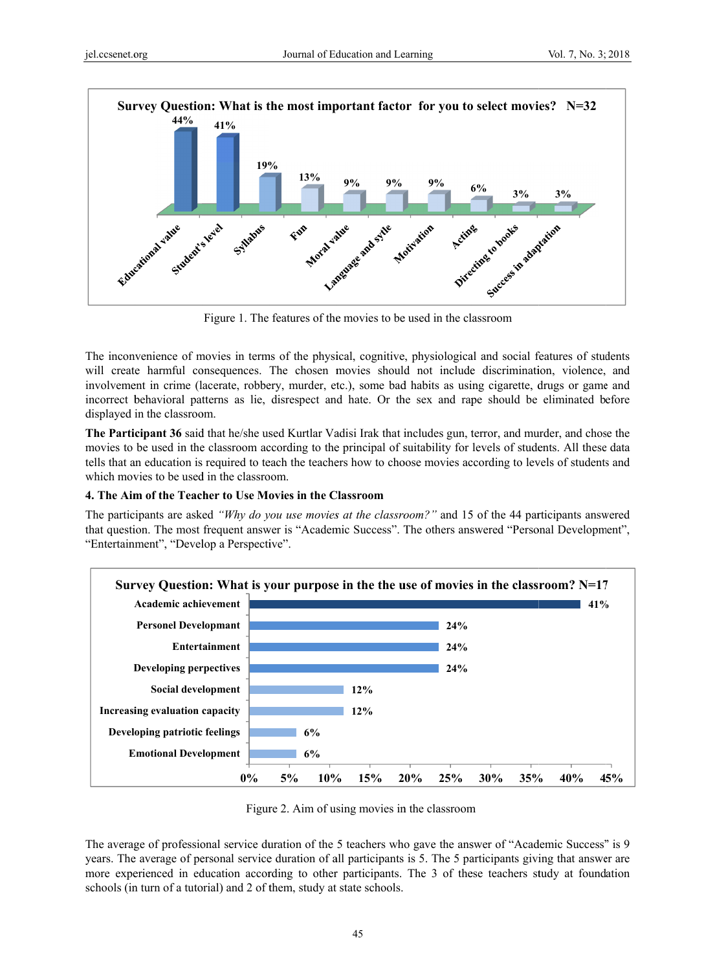

Figure 1. The features of the movies to be used in the classroom

The inconvenience of movies in terms of the physical, cognitive, physiological and social features of students will create harmful consequences. The chosen movies should not include discrimination, violence, and involvement in crime (lacerate, robbery, murder, etc.), some bad habits as using cigarette, drugs or game and incorrect behavioral patterns as lie, disrespect and hate. Or the sex and rape should be eliminated before displayed in the classroom.

The Participant 36 said that he/she used Kurtlar Vadisi Irak that includes gun, terror, and murder, and chose the movies to be used in the classroom according to the principal of suitability for levels of students. All these data tells that an education is required to teach the teachers how to choose movies according to levels of students and which movies to be used in the classroom.

## 4. The Aim of the Teacher to Use Movies in the Classroom

The participants are asked "Why do you use movies at the classroom?" and 15 of the 44 participants answered that question. The most frequent answer is "Academic Success". The others answered "Personal Development", "Entertainment", "Develop a Perspective".



Figure 2. Aim of using movies in the classroom

The average of professional service duration of the 5 teachers who gave the answer of "Academic Success" is 9 years. The average of personal service duration of all participants is 5. The 5 participants giving that answer are more experienced in education according to other participants. The 3 of these teachers study at foundation schools (in turn of a tutorial) and 2 of them, study at state schools.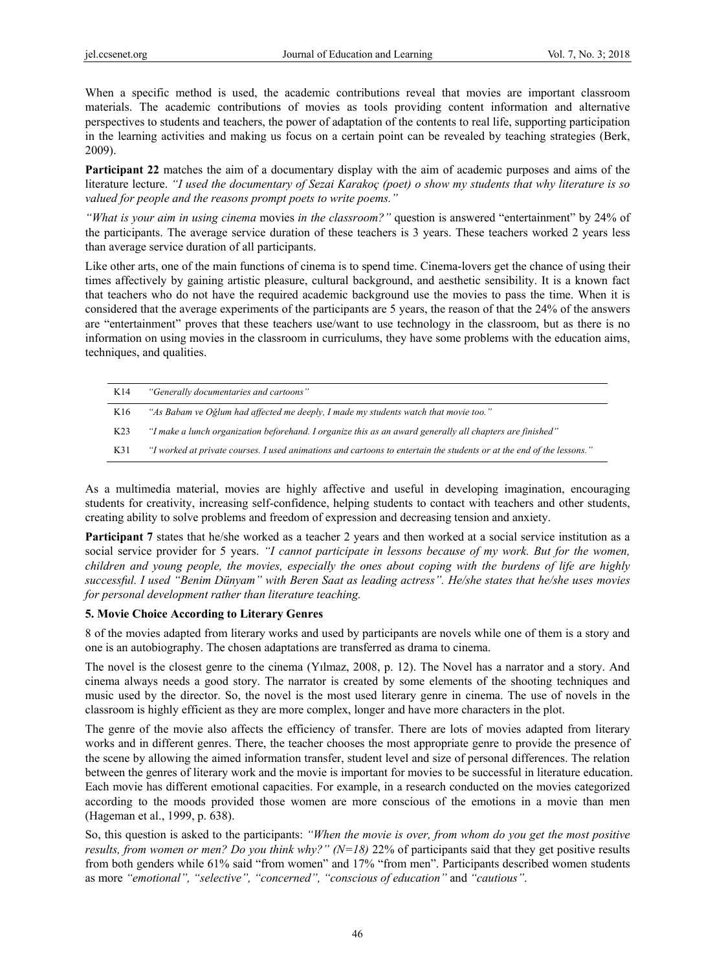When a specific method is used, the academic contributions reveal that movies are important classroom materials. The academic contributions of movies as tools providing content information and alternative perspectives to students and teachers, the power of adaptation of the contents to real life, supporting participation in the learning activities and making us focus on a certain point can be revealed by teaching strategies (Berk, 2009).

**Participant 22** matches the aim of a documentary display with the aim of academic purposes and aims of the literature lecture. *"I used the documentary of Sezai Karakoç (poet) o show my students that why literature is so valued for people and the reasons prompt poets to write poems."* 

*"What is your aim in using cinema* movies *in the classroom?"* question is answered "entertainment" by 24% of the participants. The average service duration of these teachers is 3 years. These teachers worked 2 years less than average service duration of all participants.

Like other arts, one of the main functions of cinema is to spend time. Cinema-lovers get the chance of using their times affectively by gaining artistic pleasure, cultural background, and aesthetic sensibility. It is a known fact that teachers who do not have the required academic background use the movies to pass the time. When it is considered that the average experiments of the participants are 5 years, the reason of that the 24% of the answers are "entertainment" proves that these teachers use/want to use technology in the classroom, but as there is no information on using movies in the classroom in curriculums, they have some problems with the education aims, techniques, and qualities.

| K14 | "Generally documentaries and cartoons"                                                                                |
|-----|-----------------------------------------------------------------------------------------------------------------------|
| K16 | "As Babam ve Oğlum had affected me deeply, I made my students watch that movie too."                                  |
| K23 | "I make a lunch organization beforehand. I organize this as an award generally all chapters are finished"             |
| K31 | "I worked at private courses. I used animations and cartoons to entertain the students or at the end of the lessons." |

As a multimedia material, movies are highly affective and useful in developing imagination, encouraging students for creativity, increasing self-confidence, helping students to contact with teachers and other students, creating ability to solve problems and freedom of expression and decreasing tension and anxiety.

**Participant 7** states that he/she worked as a teacher 2 years and then worked at a social service institution as a social service provider for 5 years. *"I cannot participate in lessons because of my work. But for the women, children and young people, the movies, especially the ones about coping with the burdens of life are highly successful. I used "Benim Dünyam" with Beren Saat as leading actress". He/she states that he/she uses movies for personal development rather than literature teaching.*

# **5. Movie Choice According to Literary Genres**

8 of the movies adapted from literary works and used by participants are novels while one of them is a story and one is an autobiography. The chosen adaptations are transferred as drama to cinema.

The novel is the closest genre to the cinema (Yılmaz, 2008, p. 12). The Novel has a narrator and a story. And cinema always needs a good story. The narrator is created by some elements of the shooting techniques and music used by the director. So, the novel is the most used literary genre in cinema. The use of novels in the classroom is highly efficient as they are more complex, longer and have more characters in the plot.

The genre of the movie also affects the efficiency of transfer. There are lots of movies adapted from literary works and in different genres. There, the teacher chooses the most appropriate genre to provide the presence of the scene by allowing the aimed information transfer, student level and size of personal differences. The relation between the genres of literary work and the movie is important for movies to be successful in literature education. Each movie has different emotional capacities. For example, in a research conducted on the movies categorized according to the moods provided those women are more conscious of the emotions in a movie than men (Hageman et al., 1999, p. 638).

So, this question is asked to the participants: *"When the movie is over, from whom do you get the most positive results, from women or men? Do you think why?" (N=18)* 22% of participants said that they get positive results from both genders while 61% said "from women" and 17% "from men". Participants described women students as more *"emotional", "selective", "concerned", "conscious of education"* and *"cautious"*.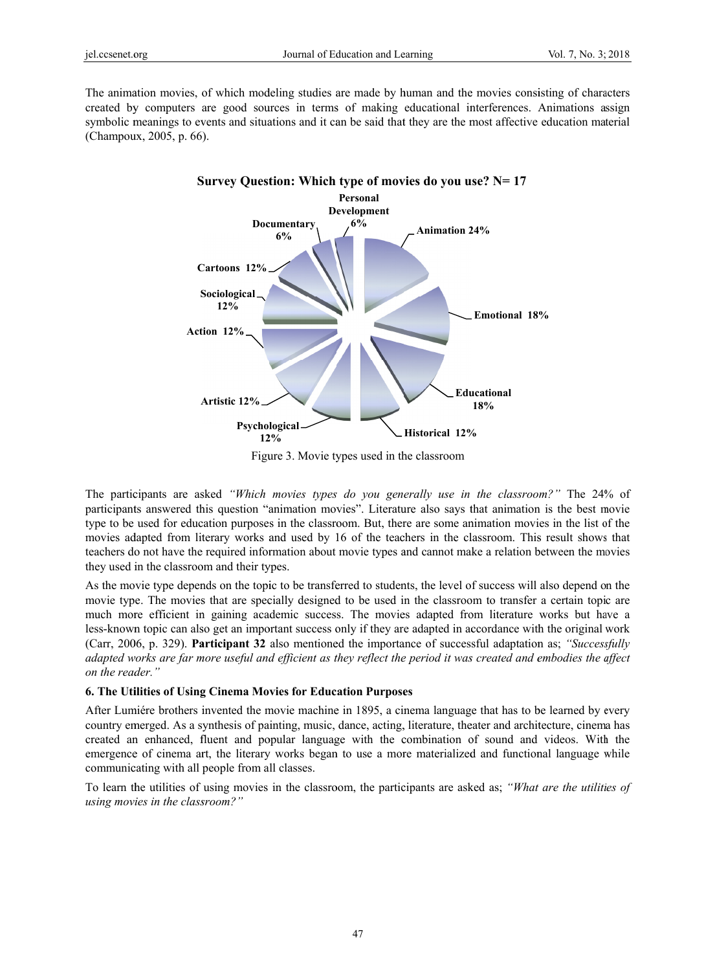The animation movies, of which modeling studies are made by human and the movies consisting of characters created by computers are good sources in terms of making educational interferences. Animations assign symbolic meanings to events and situations and it can be said that they are the most affective education material (Champoux, 2005, p. 66).



Figure 3. Movie types used in the classroom

The participants are asked "Which movies types do you generally use in the classroom?" The 24% of participants answered this question "animation movies". Literature also says that animation is the best movie type to be used for education purposes in the classroom. But, there are some animation movies in the list of the movies adapted from literary works and used by 16 of the teachers in the classroom. This result shows that teachers do not have the required information about movie types and cannot make a relation between the movies they used in the classroom and their types.

As the movie type depends on the topic to be transferred to students, the level of success will also depend on the movie type. The movies that are specially designed to be used in the classroom to transfer a certain topic are much more efficient in gaining academic success. The movies adapted from literature works but have a less-known topic can also get an important success only if they are adapted in accordance with the original work (Carr, 2006, p. 329). Participant 32 also mentioned the importance of successful adaptation as; "Successfully adapted works are far more useful and efficient as they reflect the period it was created and embodies the affect on the reader."

# 6. The Utilities of Using Cinema Movies for Education Purposes

After Lumiére brothers invented the movie machine in 1895, a cinema language that has to be learned by every country emerged. As a synthesis of painting, music, dance, acting, literature, theater and architecture, cinema has created an enhanced, fluent and popular language with the combination of sound and videos. With the emergence of cinema art, the literary works began to use a more materialized and functional language while communicating with all people from all classes.

To learn the utilities of using movies in the classroom, the participants are asked as; "What are the utilities of using movies in the classroom?"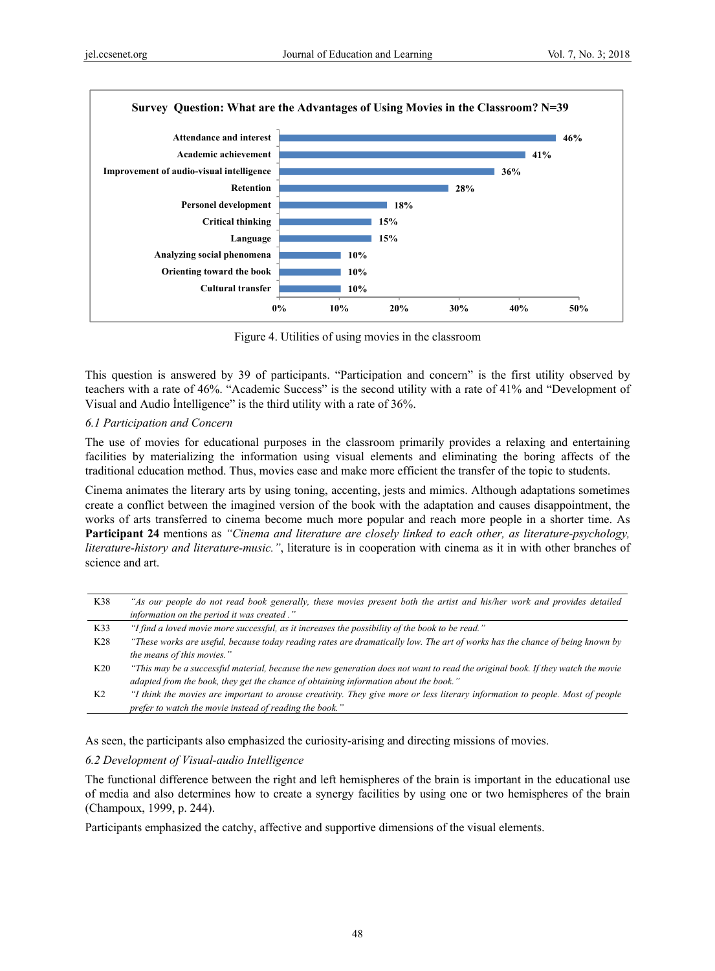

Figure 4. Utilities of using movies in the classroom

This question is answered by 39 of participants. "Participation and concern" is the first utility observed by teachers with a rate of 46%. "Academic Success" is the second utility with a rate of 41% and "Development of Visual and Audio İntelligence" is the third utility with a rate of 36%.

## *6.1 Participation and Concern*

The use of movies for educational purposes in the classroom primarily provides a relaxing and entertaining facilities by materializing the information using visual elements and eliminating the boring affects of the traditional education method. Thus, movies ease and make more efficient the transfer of the topic to students.

Cinema animates the literary arts by using toning, accenting, jests and mimics. Although adaptations sometimes create a conflict between the imagined version of the book with the adaptation and causes disappointment, the works of arts transferred to cinema become much more popular and reach more people in a shorter time. As **Participant 24** mentions as *"Cinema and literature are closely linked to each other, as literature-psychology, literature-history and literature-music."*, literature is in cooperation with cinema as it in with other branches of science and art.

| K38            | "As our people do not read book generally, these movies present both the artist and his/her work and provides detailed          |
|----------------|---------------------------------------------------------------------------------------------------------------------------------|
|                | information on the period it was created."                                                                                      |
| K33            | "I find a loved movie more successful, as it increases the possibility of the book to be read."                                 |
| K28            | "These works are useful, because today reading rates are dramatically low. The art of works has the chance of being known by    |
|                | the means of this movies."                                                                                                      |
| K20            | "This may be a successful material, because the new generation does not want to read the original book. If they watch the movie |
|                | adapted from the book, they get the chance of obtaining information about the book."                                            |
| K <sub>2</sub> | "I think the movies are important to arouse creativity. They give more or less literary information to people. Most of people   |
|                | prefer to watch the movie instead of reading the book."                                                                         |

As seen, the participants also emphasized the curiosity-arising and directing missions of movies.

# *6.2 Development of Visual-audio Intelligence*

The functional difference between the right and left hemispheres of the brain is important in the educational use of media and also determines how to create a synergy facilities by using one or two hemispheres of the brain (Champoux, 1999, p. 244).

Participants emphasized the catchy, affective and supportive dimensions of the visual elements.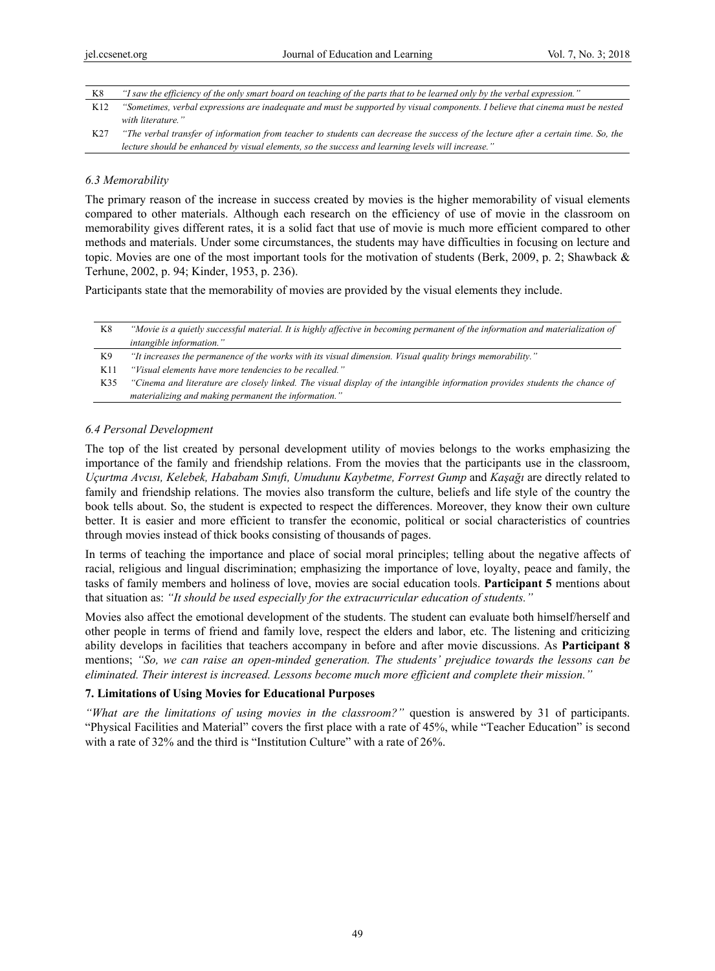| - K8 | "I saw the efficiency of the only smart board on teaching of the parts that to be learned only by the verbal expression."          |
|------|------------------------------------------------------------------------------------------------------------------------------------|
| K12  | "Sometimes, verbal expressions are inadequate and must be supported by visual components. I believe that cinema must be nested     |
|      | with literature."                                                                                                                  |
| K27  | "The verbal transfer of information from teacher to students can decrease the success of the lecture after a certain time. So, the |

*lecture should be enhanced by visual elements, so the success and learning levels will increase."* 

## *6.3 Memorability*

The primary reason of the increase in success created by movies is the higher memorability of visual elements compared to other materials. Although each research on the efficiency of use of movie in the classroom on memorability gives different rates, it is a solid fact that use of movie is much more efficient compared to other methods and materials. Under some circumstances, the students may have difficulties in focusing on lecture and topic. Movies are one of the most important tools for the motivation of students (Berk, 2009, p. 2; Shawback & Terhune, 2002, p. 94; Kinder, 1953, p. 236).

Participants state that the memorability of movies are provided by the visual elements they include.

- K8 *"Movie is a quietly successful material. It is highly affective in becoming permanent of the information and materialization of intangible information."*
- K9 *"It increases the permanence of the works with its visual dimension. Visual quality brings memorability."*
- K11 *"Visual elements have more tendencies to be recalled."*
- K35 *"Cinema and literature are closely linked. The visual display of the intangible information provides students the chance of materializing and making permanent the information."*

## *6.4 Personal Development*

The top of the list created by personal development utility of movies belongs to the works emphasizing the importance of the family and friendship relations. From the movies that the participants use in the classroom, *Uçurtma Avcısı, Kelebek, Hababam Sınıfı, Umudunu Kaybetme, Forrest Gump* and *Kaşağı* are directly related to family and friendship relations. The movies also transform the culture, beliefs and life style of the country the book tells about. So, the student is expected to respect the differences. Moreover, they know their own culture better. It is easier and more efficient to transfer the economic, political or social characteristics of countries through movies instead of thick books consisting of thousands of pages.

In terms of teaching the importance and place of social moral principles; telling about the negative affects of racial, religious and lingual discrimination; emphasizing the importance of love, loyalty, peace and family, the tasks of family members and holiness of love, movies are social education tools. **Participant 5** mentions about that situation as: *"It should be used especially for the extracurricular education of students."*

Movies also affect the emotional development of the students. The student can evaluate both himself/herself and other people in terms of friend and family love, respect the elders and labor, etc. The listening and criticizing ability develops in facilities that teachers accompany in before and after movie discussions. As **Participant 8** mentions; *"So, we can raise an open-minded generation. The students' prejudice towards the lessons can be eliminated. Their interest is increased. Lessons become much more efficient and complete their mission."*

# **7. Limitations of Using Movies for Educational Purposes**

*"What are the limitations of using movies in the classroom?"* question is answered by 31 of participants. "Physical Facilities and Material" covers the first place with a rate of 45%, while "Teacher Education" is second with a rate of 32% and the third is "Institution Culture" with a rate of 26%.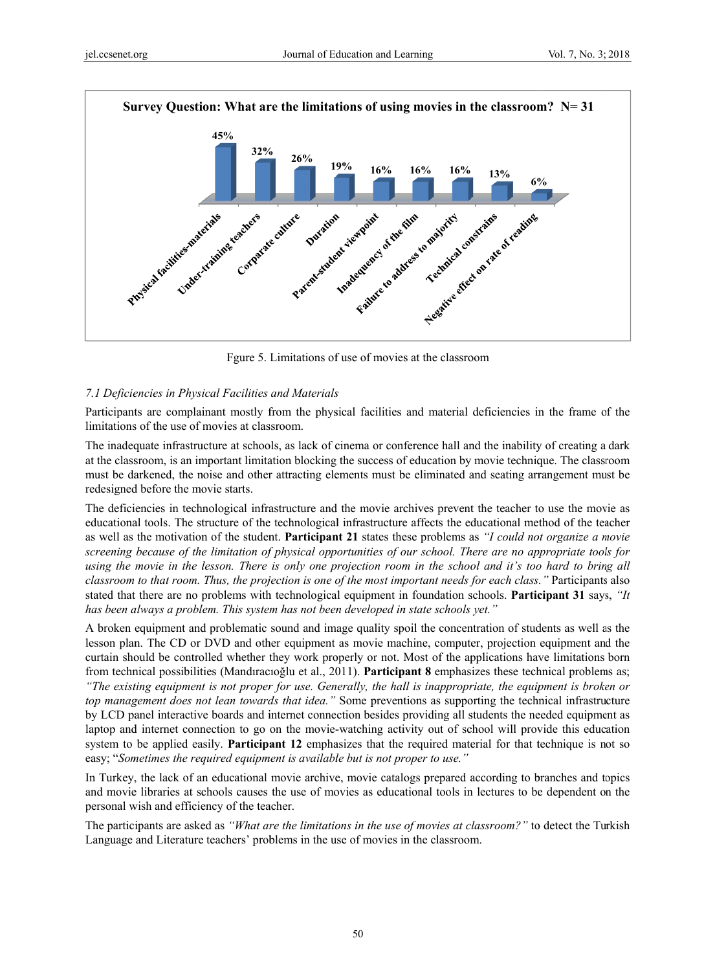

Fgure 5. Limitations of use of movies at the classroom

## 7.1 Deficiencies in Physical Facilities and Materials

Participants are complainant mostly from the physical facilities and material deficiencies in the frame of the limitations of the use of movies at classroom.

The inadequate infrastructure at schools, as lack of cinema or conference hall and the inability of creating a dark at the classroom, is an important limitation blocking the success of education by movie technique. The classroom must be darkened, the noise and other attracting elements must be eliminated and seating arrangement must be redesigned before the movie starts.

The deficiencies in technological infrastructure and the movie archives prevent the teacher to use the movie as educational tools. The structure of the technological infrastructure affects the educational method of the teacher as well as the motivation of the student. Participant 21 states these problems as "I could not organize a movie screening because of the limitation of physical opportunities of our school. There are no appropriate tools for using the movie in the lesson. There is only one projection room in the school and it's too hard to bring all classroom to that room. Thus, the projection is one of the most important needs for each class." Participants also stated that there are no problems with technological equipment in foundation schools. **Participant 31** says, "It has been always a problem. This system has not been developed in state schools yet."

A broken equipment and problematic sound and image quality spoil the concentration of students as well as the lesson plan. The CD or DVD and other equipment as movie machine, computer, projection equipment and the curtain should be controlled whether they work properly or not. Most of the applications have limitations born from technical possibilities (Mandıracıoğlu et al., 2011). Participant 8 emphasizes these technical problems as; "The existing equipment is not proper for use. Generally, the hall is inappropriate, the equipment is broken or top management does not lean towards that idea." Some preventions as supporting the technical infrastructure by LCD panel interactive boards and internet connection besides providing all students the needed equipment as laptop and internet connection to go on the movie-watching activity out of school will provide this education system to be applied easily. **Participant 12** emphasizes that the required material for that technique is not so easy; "Sometimes the required equipment is available but is not proper to use."

In Turkey, the lack of an educational movie archive, movie catalogs prepared according to branches and topics and movie libraries at schools causes the use of movies as educational tools in lectures to be dependent on the personal wish and efficiency of the teacher.

The participants are asked as "What are the limitations in the use of movies at classroom?" to detect the Turkish Language and Literature teachers' problems in the use of movies in the classroom.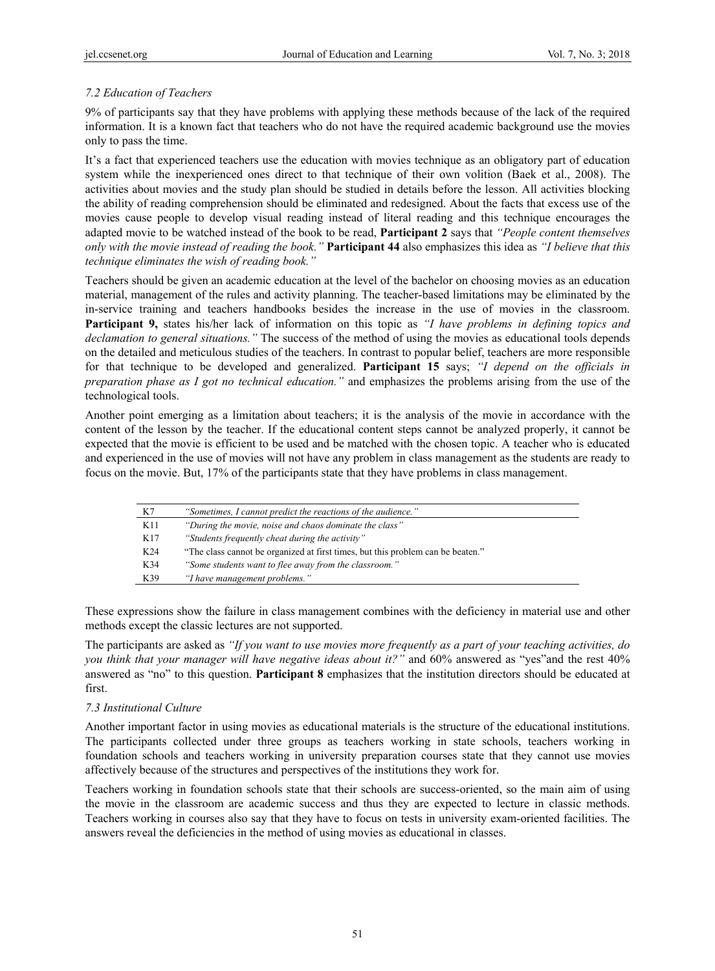# *7.2 Education of Teachers*

9% of participants say that they have problems with applying these methods because of the lack of the required information. It is a known fact that teachers who do not have the required academic background use the movies only to pass the time.

It's a fact that experienced teachers use the education with movies technique as an obligatory part of education system while the inexperienced ones direct to that technique of their own volition (Baek et al., 2008). The activities about movies and the study plan should be studied in details before the lesson. All activities blocking the ability of reading comprehension should be eliminated and redesigned. About the facts that excess use of the movies cause people to develop visual reading instead of literal reading and this technique encourages the adapted movie to be watched instead of the book to be read, **Participant 2** says that *"People content themselves only with the movie instead of reading the book."* **Participant 44** also emphasizes this idea as *"I believe that this technique eliminates the wish of reading book."*

Teachers should be given an academic education at the level of the bachelor on choosing movies as an education material, management of the rules and activity planning. The teacher-based limitations may be eliminated by the in-service training and teachers handbooks besides the increase in the use of movies in the classroom. **Participant 9,** states his/her lack of information on this topic as *"I have problems in defining topics and declamation to general situations."* The success of the method of using the movies as educational tools depends on the detailed and meticulous studies of the teachers. In contrast to popular belief, teachers are more responsible for that technique to be developed and generalized. **Participant 15** says; *"I depend on the officials in preparation phase as I got no technical education."* and emphasizes the problems arising from the use of the technological tools.

Another point emerging as a limitation about teachers; it is the analysis of the movie in accordance with the content of the lesson by the teacher. If the educational content steps cannot be analyzed properly, it cannot be expected that the movie is efficient to be used and be matched with the chosen topic. A teacher who is educated and experienced in the use of movies will not have any problem in class management as the students are ready to focus on the movie. But, 17% of the participants state that they have problems in class management.

| K7  | "Sometimes, I cannot predict the reactions of the audience."                    |
|-----|---------------------------------------------------------------------------------|
| K11 | "During the movie, noise and chaos dominate the class"                          |
| K17 | "Students frequently cheat during the activity"                                 |
| K24 | "The class cannot be organized at first times, but this problem can be beaten." |
| K34 | "Some students want to flee away from the classroom."                           |
| K39 | "I have management problems."                                                   |

These expressions show the failure in class management combines with the deficiency in material use and other methods except the classic lectures are not supported.

The participants are asked as *"If you want to use movies more frequently as a part of your teaching activities, do you think that your manager will have negative ideas about it?"* and 60% answered as "yes"and the rest 40% answered as "no" to this question. **Participant 8** emphasizes that the institution directors should be educated at first.

# *7.3 Institutional Culture*

Another important factor in using movies as educational materials is the structure of the educational institutions. The participants collected under three groups as teachers working in state schools, teachers working in foundation schools and teachers working in university preparation courses state that they cannot use movies affectively because of the structures and perspectives of the institutions they work for.

Teachers working in foundation schools state that their schools are success-oriented, so the main aim of using the movie in the classroom are academic success and thus they are expected to lecture in classic methods. Teachers working in courses also say that they have to focus on tests in university exam-oriented facilities. The answers reveal the deficiencies in the method of using movies as educational in classes.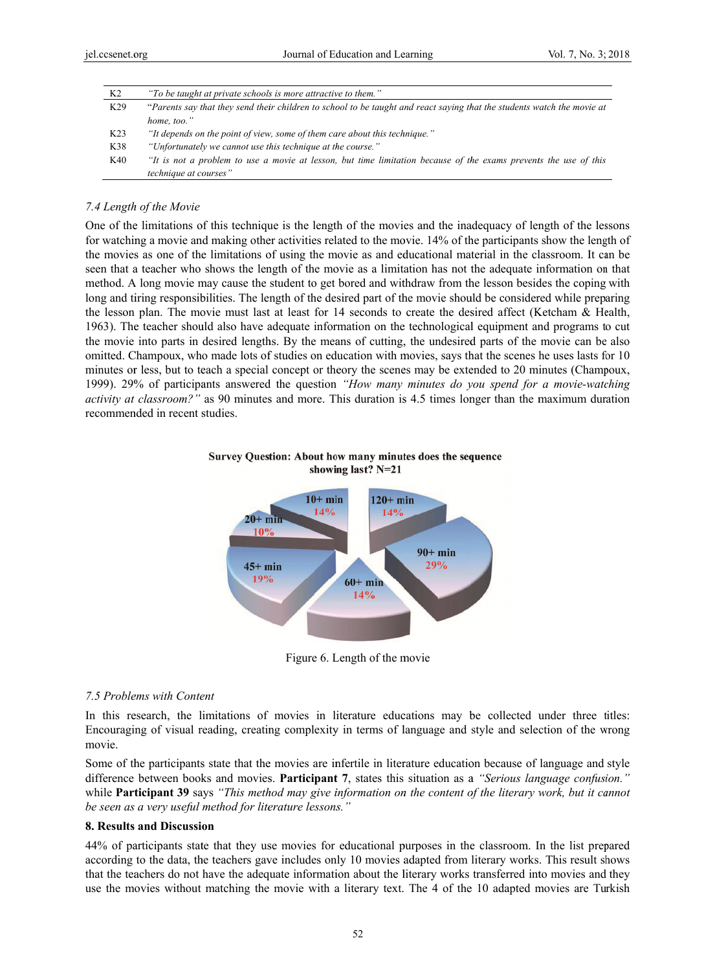| K2               | "To be taught at private schools is more attractive to them."                                                           |
|------------------|-------------------------------------------------------------------------------------------------------------------------|
| K <sub>29</sub>  | "Parents say that they send their children to school to be taught and react saying that the students watch the movie at |
|                  | home, too."                                                                                                             |
| K <sub>2</sub> 3 | "It depends on the point of view, some of them care about this technique."                                              |
| K38              | "Unfortunately we cannot use this technique at the course."                                                             |
| K40              | "It is not a problem to use a movie at lesson, but time limitation because of the exams prevents the use of this        |
|                  | <i>technique at courses</i> "                                                                                           |

#### *7.4 Length h of the Movie*

One of the limitations of this technique is the length of the movies and the inadequacy of length of the lessons for watching a movie and making other activities related to the movie. 14% of the participants show the length of the movies as one of the limitations of using the movie as and educational material in the classroom. It can be seen that a teacher who shows the length of the movie as a limitation has not the adequate information on that method. A long movie may cause the student to get bored and withdraw from the lesson besides the coping with long and tiring responsibilities. The length of the desired part of the movie should be considered while preparing the lesson plan. The movie must last at least for 14 seconds to create the desired affect (Ketcham  $\&$  Health, 1963). The teacher should also have adequate information on the technological equipment and programs to cut the movie into parts in desired lengths. By the means of cutting, the undesired parts of the movie can be also omitted. Champoux, who made lots of studies on education with movies, says that the scenes he uses lasts for 10 minutes or less, but to teach a special concept or theory the scenes may be extended to 20 minutes (Champoux, 1999). 29% of participants answered the question "How many minutes do you spend for a movie-watching *activity at classroom?"* as 90 minutes and more. This duration is 4.5 times longer than the maximum duration recommended in recent studies.





Figure 6. L Length of the m movie

#### 7.5 Problems with Content

In this research, the limitations of movies in literature educations may be collected under three titles: Encouraging of visual reading, creating complexity in terms of language and style and selection of the wrong movie.

Some of the participants state that the movies are infertile in literature education because of language and style difference between books and movies. **Participant** 7, states this situation as a "Serious language confusion." while Participant 39 says "This method may give information on the content of the literary work, but it cannot *be seen as a very useful method for literature lessons."* 

#### **8. Results and Discussi on**

44% of participants state that they use movies for educational purposes in the classroom. In the list prepared according to the data, the teachers gave includes only 10 movies adapted from literary works. This result shows that the teachers do not have the adequate information about the literary works transferred into movies and they use the movies without matching the movie with a literary text. The 4 of the 10 adapted movies are Turkish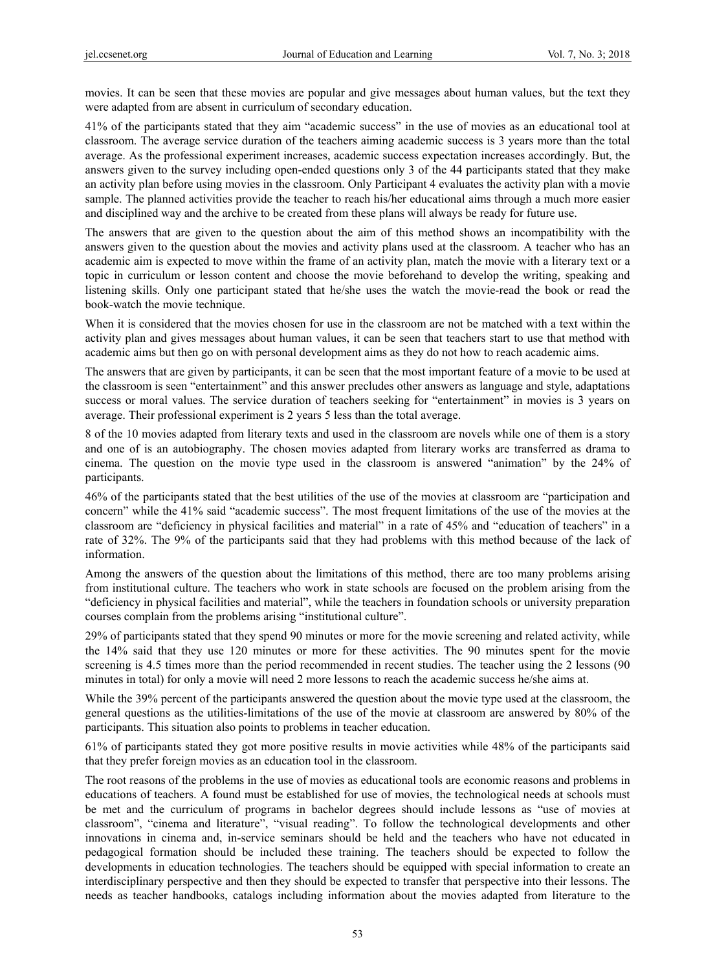movies. It can be seen that these movies are popular and give messages about human values, but the text they were adapted from are absent in curriculum of secondary education.

41% of the participants stated that they aim "academic success" in the use of movies as an educational tool at classroom. The average service duration of the teachers aiming academic success is 3 years more than the total average. As the professional experiment increases, academic success expectation increases accordingly. But, the answers given to the survey including open-ended questions only 3 of the 44 participants stated that they make an activity plan before using movies in the classroom. Only Participant 4 evaluates the activity plan with a movie sample. The planned activities provide the teacher to reach his/her educational aims through a much more easier and disciplined way and the archive to be created from these plans will always be ready for future use.

The answers that are given to the question about the aim of this method shows an incompatibility with the answers given to the question about the movies and activity plans used at the classroom. A teacher who has an academic aim is expected to move within the frame of an activity plan, match the movie with a literary text or a topic in curriculum or lesson content and choose the movie beforehand to develop the writing, speaking and listening skills. Only one participant stated that he/she uses the watch the movie-read the book or read the book-watch the movie technique.

When it is considered that the movies chosen for use in the classroom are not be matched with a text within the activity plan and gives messages about human values, it can be seen that teachers start to use that method with academic aims but then go on with personal development aims as they do not how to reach academic aims.

The answers that are given by participants, it can be seen that the most important feature of a movie to be used at the classroom is seen "entertainment" and this answer precludes other answers as language and style, adaptations success or moral values. The service duration of teachers seeking for "entertainment" in movies is 3 years on average. Their professional experiment is 2 years 5 less than the total average.

8 of the 10 movies adapted from literary texts and used in the classroom are novels while one of them is a story and one of is an autobiography. The chosen movies adapted from literary works are transferred as drama to cinema. The question on the movie type used in the classroom is answered "animation" by the 24% of participants.

46% of the participants stated that the best utilities of the use of the movies at classroom are "participation and concern" while the 41% said "academic success". The most frequent limitations of the use of the movies at the classroom are "deficiency in physical facilities and material" in a rate of 45% and "education of teachers" in a rate of 32%. The 9% of the participants said that they had problems with this method because of the lack of information.

Among the answers of the question about the limitations of this method, there are too many problems arising from institutional culture. The teachers who work in state schools are focused on the problem arising from the "deficiency in physical facilities and material", while the teachers in foundation schools or university preparation courses complain from the problems arising "institutional culture".

29% of participants stated that they spend 90 minutes or more for the movie screening and related activity, while the 14% said that they use 120 minutes or more for these activities. The 90 minutes spent for the movie screening is 4.5 times more than the period recommended in recent studies. The teacher using the 2 lessons (90 minutes in total) for only a movie will need 2 more lessons to reach the academic success he/she aims at.

While the 39% percent of the participants answered the question about the movie type used at the classroom, the general questions as the utilities-limitations of the use of the movie at classroom are answered by 80% of the participants. This situation also points to problems in teacher education.

61% of participants stated they got more positive results in movie activities while 48% of the participants said that they prefer foreign movies as an education tool in the classroom.

The root reasons of the problems in the use of movies as educational tools are economic reasons and problems in educations of teachers. A found must be established for use of movies, the technological needs at schools must be met and the curriculum of programs in bachelor degrees should include lessons as "use of movies at classroom", "cinema and literature", "visual reading". To follow the technological developments and other innovations in cinema and, in-service seminars should be held and the teachers who have not educated in pedagogical formation should be included these training. The teachers should be expected to follow the developments in education technologies. The teachers should be equipped with special information to create an interdisciplinary perspective and then they should be expected to transfer that perspective into their lessons. The needs as teacher handbooks, catalogs including information about the movies adapted from literature to the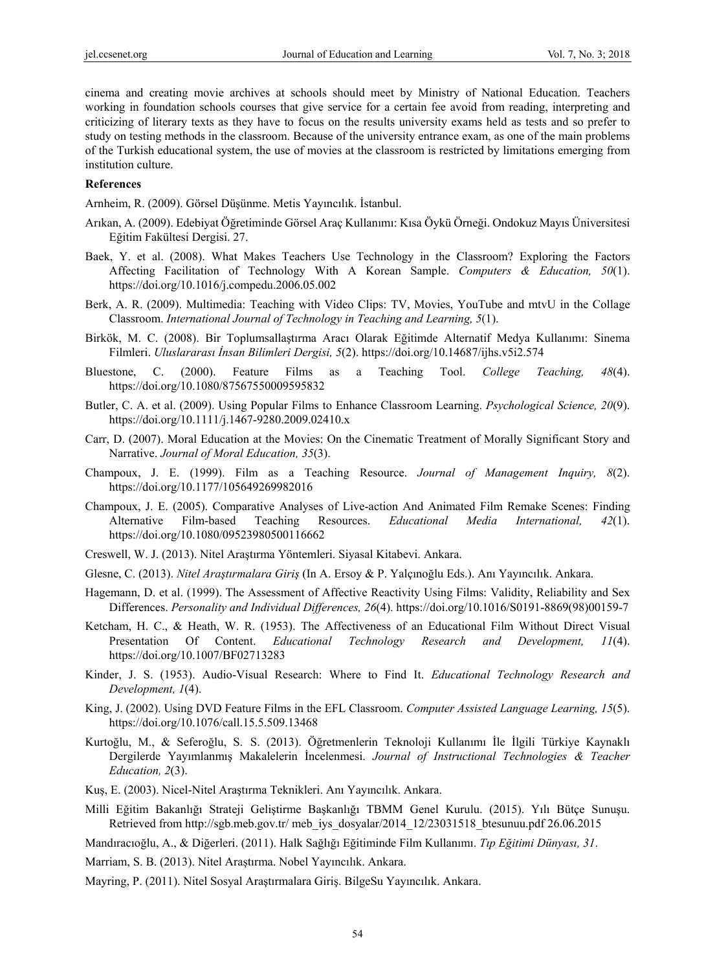cinema and creating movie archives at schools should meet by Ministry of National Education. Teachers working in foundation schools courses that give service for a certain fee avoid from reading, interpreting and criticizing of literary texts as they have to focus on the results university exams held as tests and so prefer to study on testing methods in the classroom. Because of the university entrance exam, as one of the main problems of the Turkish educational system, the use of movies at the classroom is restricted by limitations emerging from institution culture.

## **References**

Arnheim, R. (2009). Görsel Düşünme. Metis Yayıncılık. İstanbul.

- Arıkan, A. (2009). Edebiyat Öğretiminde Görsel Araç Kullanımı: Kısa Öykü Örneği. Ondokuz Mayıs Üniversitesi Eğitim Fakültesi Dergisi. 27.
- Baek, Y. et al. (2008). What Makes Teachers Use Technology in the Classroom? Exploring the Factors Affecting Facilitation of Technology With A Korean Sample. *Computers & Education, 50*(1). https://doi.org/10.1016/j.compedu.2006.05.002
- Berk, A. R. (2009). Multimedia: Teaching with Video Clips: TV, Movies, YouTube and mtvU in the Collage Classroom. *International Journal of Technology in Teaching and Learning, 5*(1).
- Birkök, M. C. (2008). Bir Toplumsallaştırma Aracı Olarak Eğitimde Alternatif Medya Kullanımı: Sinema Filmleri. *Uluslararası İnsan Bilimleri Dergisi, 5*(2). https://doi.org/10.14687/ijhs.v5i2.574
- Bluestone, C. (2000). Feature Films as a Teaching Tool. *College Teaching, 48*(4). https://doi.org/10.1080/87567550009595832
- Butler, C. A. et al. (2009). Using Popular Films to Enhance Classroom Learning. *Psychological Science, 20*(9). https://doi.org/10.1111/j.1467-9280.2009.02410.x
- Carr, D. (2007). Moral Education at the Movies: On the Cinematic Treatment of Morally Significant Story and Narrative. *Journal of Moral Education, 35*(3).
- Champoux, J. E. (1999). Film as a Teaching Resource. *Journal of Management Inquiry, 8*(2). https://doi.org/10.1177/105649269982016
- Champoux, J. E. (2005). Comparative Analyses of Live-action And Animated Film Remake Scenes: Finding Alternative Film-based Teaching Resources. *Educational Media International, 42*(1). https://doi.org/10.1080/09523980500116662
- Creswell, W. J. (2013). Nitel Araştırma Yöntemleri. Siyasal Kitabevi. Ankara.
- Glesne, C. (2013). *Nitel Araştırmalara Giriş* (In A. Ersoy & P. Yalçınoğlu Eds.). Anı Yayıncılık. Ankara.
- Hagemann, D. et al. (1999). The Assessment of Affective Reactivity Using Films: Validity, Reliability and Sex Differences. *Personality and Individual Differences, 26*(4). https://doi.org/10.1016/S0191-8869(98)00159-7
- Ketcham, H. C., & Heath, W. R. (1953). The Affectiveness of an Educational Film Without Direct Visual Presentation Of Content. *Educational Technology Research and Development, 11*(4). https://doi.org/10.1007/BF02713283
- Kinder, J. S. (1953). Audio-Visual Research: Where to Find It. *Educational Technology Research and Development, 1*(4).
- King, J. (2002). Using DVD Feature Films in the EFL Classroom. *Computer Assisted Language Learning, 15*(5). https://doi.org/10.1076/call.15.5.509.13468
- Kurtoğlu, M., & Seferoğlu, S. S. (2013). Öğretmenlerin Teknoloji Kullanımı İle İlgili Türkiye Kaynaklı Dergilerde Yayımlanmış Makalelerin İncelenmesi. *Journal of Instructional Technologies & Teacher Education, 2*(3).
- Kuş, E. (2003). Nicel-Nitel Araştırma Teknikleri. Anı Yayıncılık. Ankara.
- Milli Eğitim Bakanlığı Strateji Geliştirme Başkanlığı TBMM Genel Kurulu. (2015). Yılı Bütçe Sunuşu. Retrieved from http://sgb.meb.gov.tr/ meb\_iys\_dosyalar/2014\_12/23031518\_btesunuu.pdf 26.06.2015

Mandıracıoğlu, A., & Diğerleri. (2011). Halk Sağlığı Eğitiminde Film Kullanımı. *Tıp Eğitimi Dünyası, 31*.

Marriam, S. B. (2013). Nitel Araştırma. Nobel Yayıncılık. Ankara.

Mayring, P. (2011). Nitel Sosyal Araştırmalara Giriş. BilgeSu Yayıncılık. Ankara.